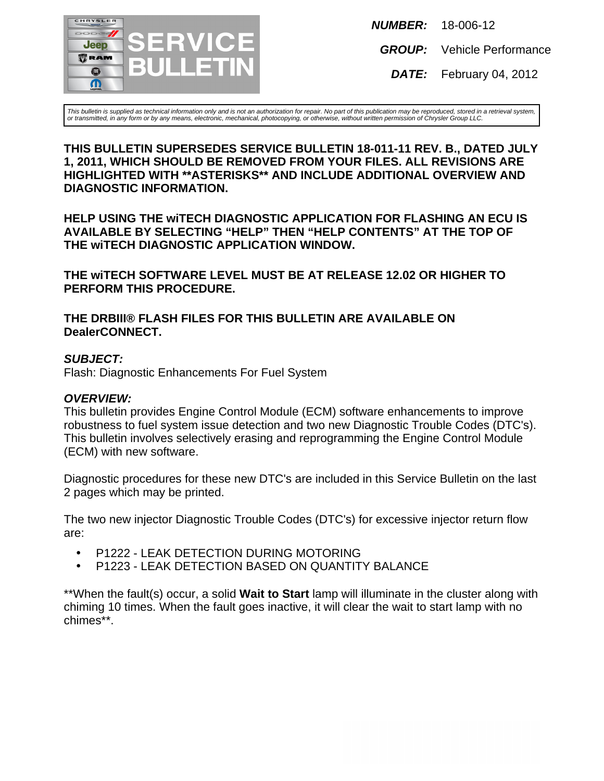

**NUMBER:** 18-006-12

**GROUP:** Vehicle Performance

**DATE:** February 04, 2012

This bulletin is supplied as technical information only and is not an authorization for repair. No part of this publication may be reproduced, stored in a retrieval system, or transmitted, in any form or by any means, electronic, mechanical, photocopying, or otherwise, without written permission of Chrysler Group LLC.

#### **THIS BULLETIN SUPERSEDES SERVICE BULLETIN 18-011-11 REV. B., DATED JULY 1, 2011, WHICH SHOULD BE REMOVED FROM YOUR FILES. ALL REVISIONS ARE HIGHLIGHTED WITH \*\*ASTERISKS\*\* AND INCLUDE ADDITIONAL OVERVIEW AND DIAGNOSTIC INFORMATION.**

**HELP USING THE wiTECH DIAGNOSTIC APPLICATION FOR FLASHING AN ECU IS AVAILABLE BY SELECTING "HELP" THEN "HELP CONTENTS" AT THE TOP OF THE wiTECH DIAGNOSTIC APPLICATION WINDOW.**

**THE wiTECH SOFTWARE LEVEL MUST BE AT RELEASE 12.02 OR HIGHER TO PERFORM THIS PROCEDURE.**

**THE DRBIII® FLASH FILES FOR THIS BULLETIN ARE AVAILABLE ON DealerCONNECT.**

#### **SUBJECT:**

Flash: Diagnostic Enhancements For Fuel System

#### **OVERVIEW:**

This bulletin provides Engine Control Module (ECM) software enhancements to improve robustness to fuel system issue detection and two new Diagnostic Trouble Codes (DTC's). This bulletin involves selectively erasing and reprogramming the Engine Control Module (ECM) with new software.

Diagnostic procedures for these new DTC's are included in this Service Bulletin on the last 2 pages which may be printed.

The two new injector Diagnostic Trouble Codes (DTC's) for excessive injector return flow are:

- P1222 LEAK DETECTION DURING MOTORING
- P1223 LEAK DETECTION BASED ON QUANTITY BALANCE

\*\*When the fault(s) occur, a solid **Wait to Start** lamp will illuminate in the cluster along with chiming 10 times. When the fault goes inactive, it will clear the wait to start lamp with no chimes\*\*.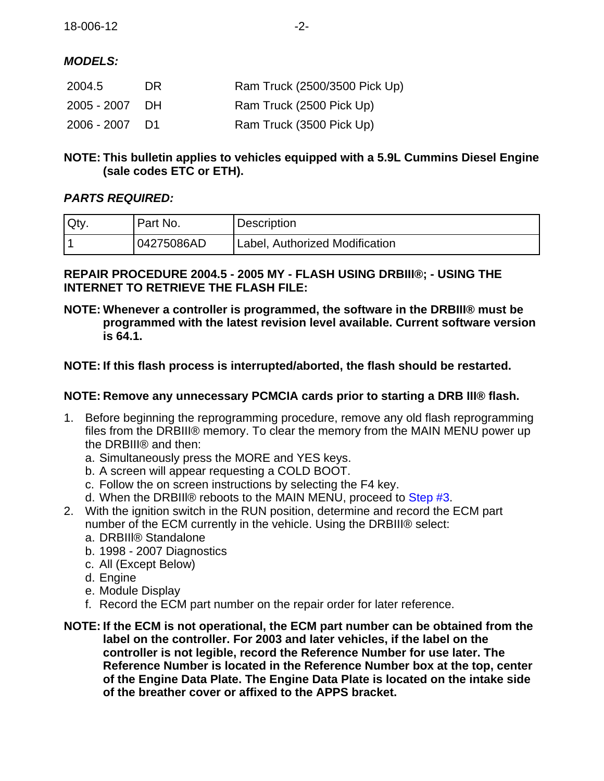# **MODELS:**

| 2004.5         | DR. | Ram Truck (2500/3500 Pick Up) |
|----------------|-----|-------------------------------|
| 2005 - 2007 DH |     | Ram Truck (2500 Pick Up)      |
| 2006 - 2007 D1 |     | Ram Truck (3500 Pick Up)      |

# **NOTE: This bulletin applies to vehicles equipped with a 5.9L Cummins Diesel Engine (sale codes ETC or ETH).**

# **PARTS REQUIRED:**

| Oty. | Part No.   | <b>Description</b>             |
|------|------------|--------------------------------|
|      | 04275086AD | Label, Authorized Modification |

# **REPAIR PROCEDURE 2004.5 - 2005 MY - FLASH USING DRBIII®; - USING THE INTERNET TO RETRIEVE THE FLASH FILE:**

**NOTE: Whenever a controller is programmed, the software in the DRBIII® must be programmed with the latest revision level available. Current software version is 64.1.**

# **NOTE: If this flash process is interrupted/aborted, the flash should be restarted.**

# **NOTE: Remove any unnecessary PCMCIA cards prior to starting a DRB III® flash.**

- 1. Before beginning the reprogramming procedure, remove any old flash reprogramming files from the DRBIII® memory. To clear the memory from the MAIN MENU power up the DRBIII® and then:
	- a. Simultaneously press the MORE and YES keys.
	- b. A screen will appear requesting a COLD BOOT.
	- c. Follow the on screen instructions by selecting the F4 key.
	- d. When the DRBIIl® reboots to the MAIN MENU, proceed to [Step #3.](#page-2-0)
- <span id="page-1-0"></span>2. With the ignition switch in the RUN position, determine and record the ECM part number of the ECM currently in the vehicle. Using the DRBIII® select:
	- a. DRBIIl® Standalone
	- b. 1998 2007 Diagnostics
	- c. All (Except Below)
	- d. Engine
	- e. Module Display
	- f. Record the ECM part number on the repair order for later reference.
- **NOTE: If the ECM is not operational, the ECM part number can be obtained from the label on the controller. For 2003 and later vehicles, if the label on the controller is not legible, record the Reference Number for use later. The Reference Number is located in the Reference Number box at the top, center of the Engine Data Plate. The Engine Data Plate is located on the intake side of the breather cover or affixed to the APPS bracket.**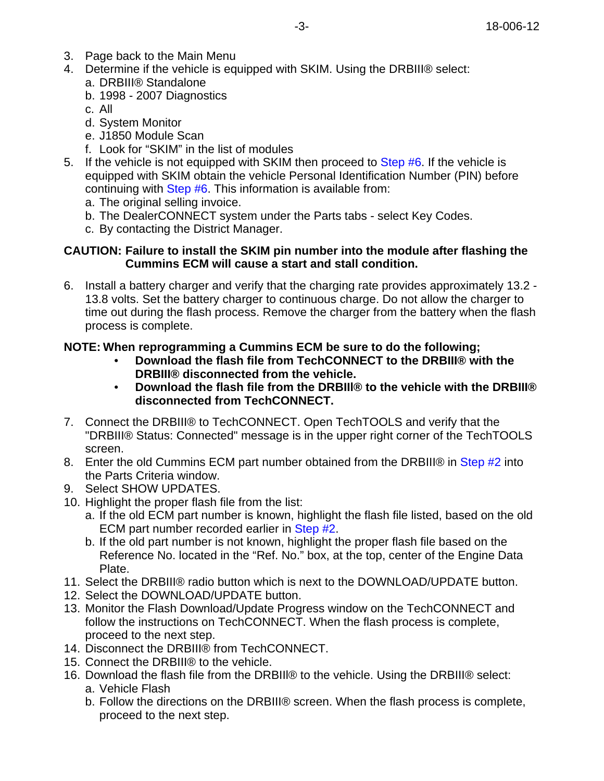- <span id="page-2-0"></span>3. Page back to the Main Menu
- 4. Determine if the vehicle is equipped with SKIM. Using the DRBIII® select: a. DRBIII® Standalone
	- b. 1998 2007 Diagnostics
	- c. All
	- d. System Monitor
	- e. J1850 Module Scan
	- f. Look for "SKIM" in the list of modules
- 5. If the vehicle is not equipped with SKIM then proceed to [Step #6](#page-2-1). If the vehicle is equipped with SKIM obtain the vehicle Personal Identification Number (PIN) before continuing with [Step #6](#page-2-1). This information is available from:
	- a. The original selling invoice.
	- b. The DealerCONNECT system under the Parts tabs select Key Codes.
	- c. By contacting the District Manager.

## **CAUTION: Failure to install the SKIM pin number into the module after flashing the Cummins ECM will cause a start and stall condition.**

<span id="page-2-1"></span>6. Install a battery charger and verify that the charging rate provides approximately 13.2 - 13.8 volts. Set the battery charger to continuous charge. Do not allow the charger to time out during the flash process. Remove the charger from the battery when the flash process is complete.

# **NOTE: When reprogramming a Cummins ECM be sure to do the following;**

- **• Download the flash file from TechCONNECT to the DRBIII® with the DRBIII® disconnected from the vehicle.**
- **• Download the flash file from the DRBIIl® to the vehicle with the DRBIII® disconnected from TechCONNECT.**
- 7. Connect the DRBIII® to TechCONNECT. Open TechTOOLS and verify that the "DRBIII® Status: Connected" message is in the upper right corner of the TechTOOLS screen.
- 8. Enter the old Cummins ECM part number obtained from the DRBIII® in [Step #2](#page-1-0) into the Parts Criteria window.
- 9. Select SHOW UPDATES.
- 10. Highlight the proper flash file from the list:
	- a. If the old ECM part number is known, highlight the flash file listed, based on the old ECM part number recorded earlier in [Step #2](#page-1-0).
	- b. If the old part number is not known, highlight the proper flash file based on the Reference No. located in the "Ref. No." box, at the top, center of the Engine Data Plate.
- 11. Select the DRBIII® radio button which is next to the DOWNLOAD/UPDATE button.
- 12. Select the DOWNLOAD/UPDATE button.
- 13. Monitor the Flash Download/Update Progress window on the TechCONNECT and follow the instructions on TechCONNECT. When the flash process is complete, proceed to the next step.
- 14. Disconnect the DRBIII® from TechCONNECT.
- 15. Connect the DRBIII® to the vehicle.
- 16. Download the flash file from the DRBIII® to the vehicle. Using the DRBIII® select: a. Vehicle Flash
	- b. Follow the directions on the DRBIII® screen. When the flash process is complete, proceed to the next step.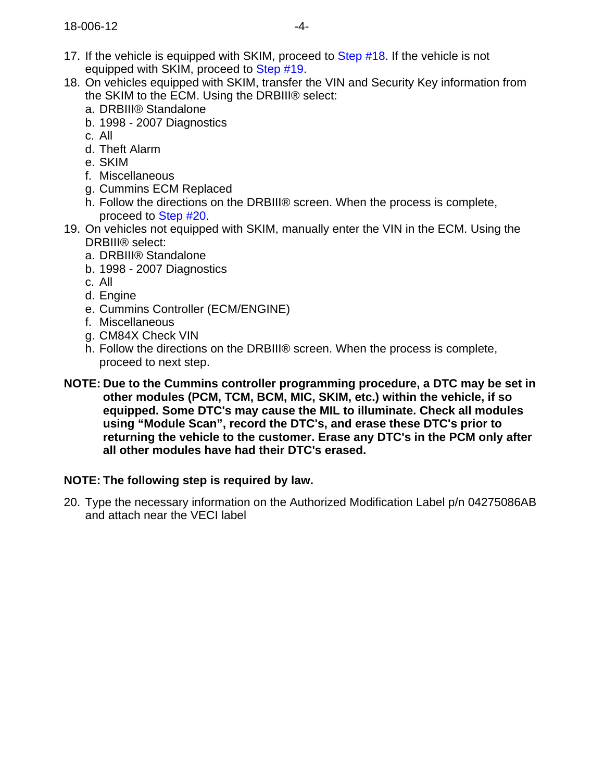- 17. If the vehicle is equipped with SKIM, proceed to [Step #18.](#page-3-0) If the vehicle is not equipped with SKIM, proceed to [Step #19.](#page-3-1)
- <span id="page-3-0"></span>18. On vehicles equipped with SKIM, transfer the VIN and Security Key information from the SKIM to the ECM. Using the DRBIII® select:
	- a. DRBIII® Standalone
	- b. 1998 2007 Diagnostics
	- c. All
	- d. Theft Alarm
	- e. SKIM
	- f. Miscellaneous
	- g. Cummins ECM Replaced
	- h. Follow the directions on the DRBIII® screen. When the process is complete, proceed to [Step #20.](#page-3-2)
- <span id="page-3-1"></span>19. On vehicles not equipped with SKIM, manually enter the VIN in the ECM. Using the DRBIII® select:
	- a. DRBIII® Standalone
	- b. 1998 2007 Diagnostics
	- c. All
	- d. Engine
	- e. Cummins Controller (ECM/ENGINE)
	- f. Miscellaneous
	- g. CM84X Check VIN
	- h. Follow the directions on the DRBIII® screen. When the process is complete, proceed to next step.
- **NOTE: Due to the Cummins controller programming procedure, a DTC may be set in other modules (PCM, TCM, BCM, MIC, SKIM, etc.) within the vehicle, if so equipped. Some DTC's may cause the MIL to illuminate. Check all modules using "Module Scan", record the DTC's, and erase these DTC's prior to returning the vehicle to the customer. Erase any DTC's in the PCM only after all other modules have had their DTC's erased.**

# **NOTE: The following step is required by law.**

<span id="page-3-2"></span>20. Type the necessary information on the Authorized Modification Label p/n 04275086AB and attach near the VECI label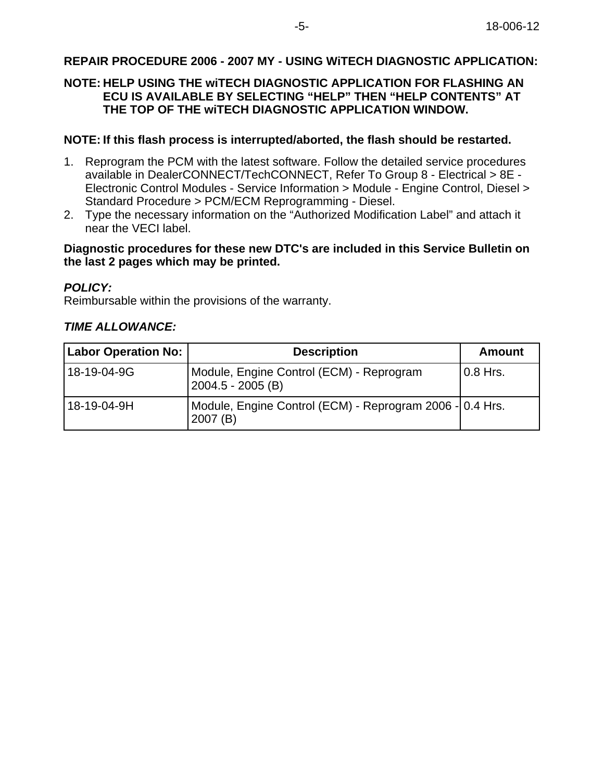# **REPAIR PROCEDURE 2006 - 2007 MY - USING WiTECH DIAGNOSTIC APPLICATION:**

### **NOTE: HELP USING THE wiTECH DIAGNOSTIC APPLICATION FOR FLASHING AN ECU IS AVAILABLE BY SELECTING "HELP" THEN "HELP CONTENTS" AT THE TOP OF THE wiTECH DIAGNOSTIC APPLICATION WINDOW.**

#### **NOTE: If this flash process is interrupted/aborted, the flash should be restarted.**

- 1. Reprogram the PCM with the latest software. Follow the detailed service procedures available in DealerCONNECT/TechCONNECT, Refer To Group 8 - Electrical > 8E - Electronic Control Modules - Service Information > Module - Engine Control, Diesel > Standard Procedure > PCM/ECM Reprogramming - Diesel.
- 2. Type the necessary information on the "Authorized Modification Label" and attach it near the VECI label.

#### **Diagnostic procedures for these new DTC's are included in this Service Bulletin on the last 2 pages which may be printed.**

#### **POLICY:**

Reimbursable within the provisions of the warranty.

#### **TIME ALLOWANCE:**

| <b>Labor Operation No:</b> | <b>Description</b>                                                  | Amount     |
|----------------------------|---------------------------------------------------------------------|------------|
| 18-19-04-9G                | Module, Engine Control (ECM) - Reprogram<br>$2004.5 - 2005$ (B)     | $0.8$ Hrs. |
| 18-19-04-9H                | Module, Engine Control (ECM) - Reprogram 2006 - 0.4 Hrs.<br>2007(B) |            |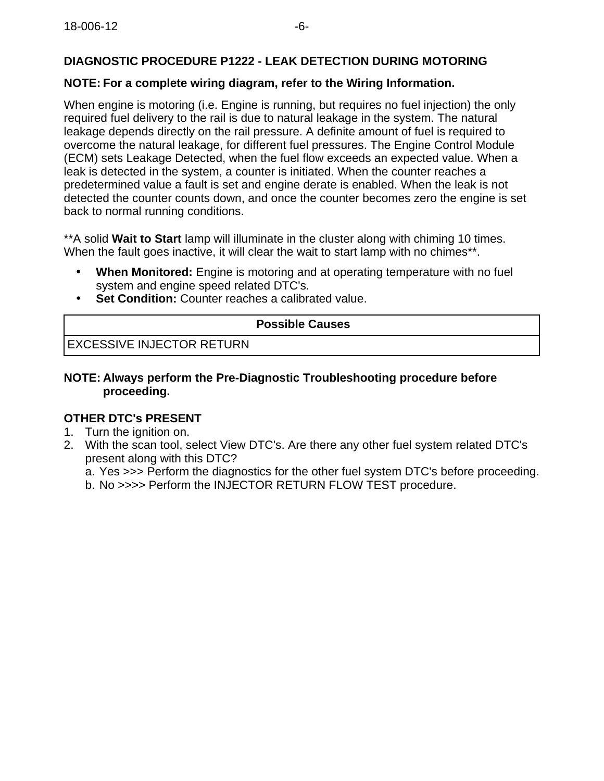# **DIAGNOSTIC PROCEDURE P1222 - LEAK DETECTION DURING MOTORING**

# **NOTE: For a complete wiring diagram, refer to the Wiring Information.**

When engine is motoring (i.e. Engine is running, but requires no fuel injection) the only required fuel delivery to the rail is due to natural leakage in the system. The natural leakage depends directly on the rail pressure. A definite amount of fuel is required to overcome the natural leakage, for different fuel pressures. The Engine Control Module (ECM) sets Leakage Detected, when the fuel flow exceeds an expected value. When a leak is detected in the system, a counter is initiated. When the counter reaches a predetermined value a fault is set and engine derate is enabled. When the leak is not detected the counter counts down, and once the counter becomes zero the engine is set back to normal running conditions.

\*\*A solid **Wait to Start** lamp will illuminate in the cluster along with chiming 10 times. When the fault goes inactive, it will clear the wait to start lamp with no chimes\*\*.

- **When Monitored:** Engine is motoring and at operating temperature with no fuel system and engine speed related DTC's.
- **Set Condition:** Counter reaches a calibrated value.

## **Possible Causes**

EXCESSIVE INJECTOR RETURN

## **NOTE: Always perform the Pre-Diagnostic Troubleshooting procedure before proceeding.**

## **OTHER DTC's PRESENT**

- 1. Turn the ignition on.
- 2. With the scan tool, select View DTC's. Are there any other fuel system related DTC's present along with this DTC?
	- a. Yes >>> Perform the diagnostics for the other fuel system DTC's before proceeding.
	- b. No >>>> Perform the INJECTOR RETURN FLOW TEST procedure.